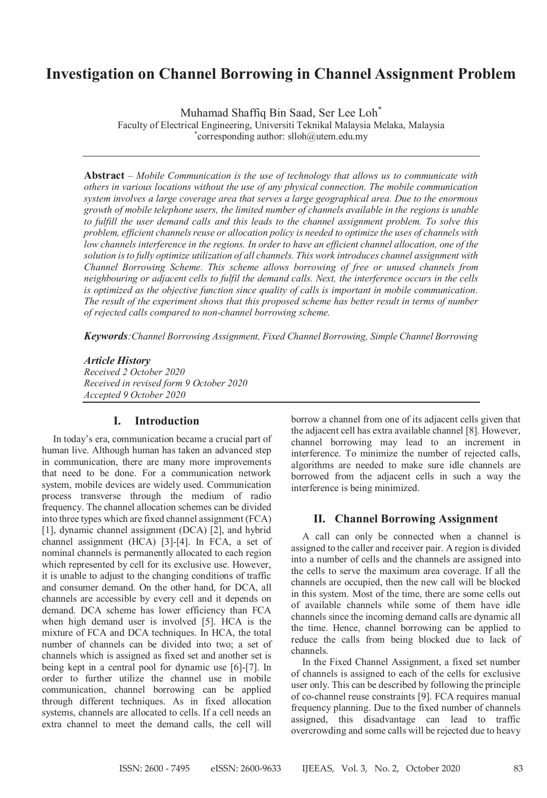# **Investigation on Channel Borrowing in Channel Assignment Problem**

Muhamad Shaffiq Bin Saad, Ser Lee Loh\*

Faculty of Electrical Engineering, Universiti Teknikal Malaysia Melaka, Malaysia \* corresponding author: slloh@utem.edu.my

**Abstract** – *Mobile Communication is the use of technology that allows us to communicate with others in various locations without the use of any physical connection. The mobile communication system involves a large coverage area that serves a large geographical area. Due to the enormous growth of mobile telephone users, the limited number of channels available in the regions is unable to fulfill the user demand calls and this leads to the channel assignment problem. To solve this problem, efficient channels reuse or allocation policy is needed to optimize the uses of channels with low channels interference in the regions. In order to have an efficient channel allocation, one of the solution is to fully optimize utilization of all channels. This work introduces channel assignment with Channel Borrowing Scheme. This scheme allows borrowing of free or unused channels from neighbouring or adjacent cells to fulfil the demand calls. Next, the interference occurs in the cells is optimized as the objective function since quality of calls is important in mobile communication. The result of the experiment shows that this proposed scheme has better result in terms of number of rejected calls compared to non-channel borrowing scheme.*

*Keywords:Channel Borrowing Assignment, Fixed Channel Borrowing, Simple Channel Borrowing*

*Article History Received 2 October 2020 Received in revised form 9 October 2020 Accepted 9 October 2020*

# **I. Introduction**

In today's era, communication became a crucial part of human live. Although human has taken an advanced step in communication, there are many more improvements that need to be done. For a communication network system, mobile devices are widely used. Communication process transverse through the medium of radio frequency. The channel allocation schemes can be divided into three types which are fixed channel assignment (FCA) [1], dynamic channel assignment (DCA) [2], and hybrid channel assignment (HCA) [3]-[4]. In FCA, a set of nominal channels is permanently allocated to each region which represented by cell for its exclusive use. However, it is unable to adjust to the changing conditions of traffic and consumer demand. On the other hand, for DCA, all channels are accessible by every cell and it depends on demand. DCA scheme has lower efficiency than FCA when high demand user is involved [5]. HCA is the mixture of FCA and DCA techniques. In HCA, the total number of channels can be divided into two; a set of channels which is assigned as fixed set and another set is being kept in a central pool for dynamic use [6]-[7]. In order to further utilize the channel use in mobile communication, channel borrowing can be applied through different techniques. As in fixed allocation systems, channels are allocated to cells. If a cell needs an extra channel to meet the demand calls, the cell will

borrow a channel from one of its adjacent cells given that the adjacent cell has extra available channel [8]. However, channel borrowing may lead to an increment in interference. To minimize the number of rejected calls, algorithms are needed to make sure idle channels are borrowed from the adjacent cells in such a way the interference is being minimized.

### **II. Channel Borrowing Assignment**

A call can only be connected when a channel is assigned to the caller and receiver pair. A region is divided into a number of cells and the channels are assigned into the cells to serve the maximum area coverage. If all the channels are occupied, then the new call will be blocked in this system. Most of the time, there are some cells out of available channels while some of them have idle channels since the incoming demand calls are dynamic all the time. Hence, channel borrowing can be applied to reduce the calls from being blocked due to lack of channels.

In the Fixed Channel Assignment, a fixed set number of channels is assigned to each of the cells for exclusive user only. This can be described by following the principle of co-channel reuse constraints [9]. FCA requires manual frequency planning. Due to the fixed number of channels assigned, this disadvantage can lead to traffic overcrowding and some calls will be rejected due to heavy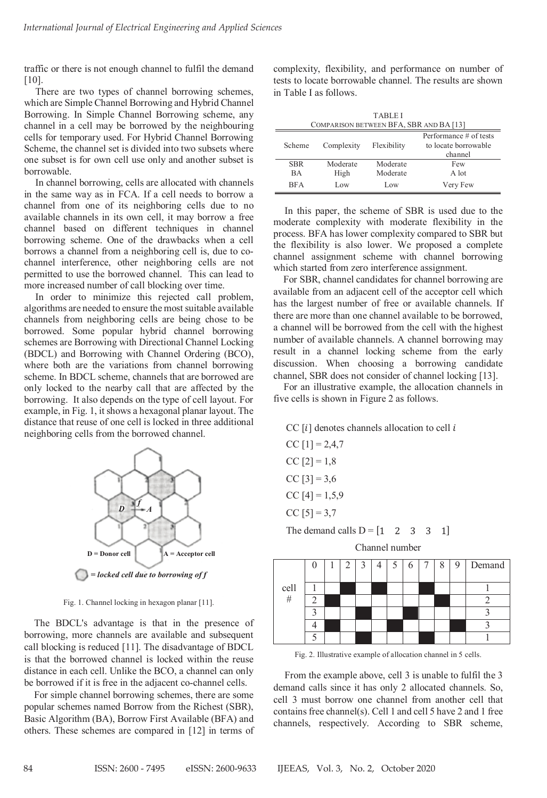traffic or there is not enough channel to fulfil the demand [10].

There are two types of channel borrowing schemes, which are Simple Channel Borrowing and Hybrid Channel Borrowing. In Simple Channel Borrowing scheme, any channel in a cell may be borrowed by the neighbouring cells for temporary used. For Hybrid Channel Borrowing Scheme, the channel set is divided into two subsets where one subset is for own cell use only and another subset is borrowable.

In channel borrowing, cells are allocated with channels in the same way as in FCA. If a cell needs to borrow a channel from one of its neighboring cells due to no available channels in its own cell, it may borrow a free channel based on different techniques in channel borrowing scheme. One of the drawbacks when a cell borrows a channel from a neighboring cell is, due to cochannel interference, other neighboring cells are not permitted to use the borrowed channel. This can lead to more increased number of call blocking over time.

In order to minimize this rejected call problem, algorithms are needed to ensure the most suitable available channels from neighboring cells are being chose to be borrowed. Some popular hybrid channel borrowing schemes are Borrowing with Directional Channel Locking (BDCL) and Borrowing with Channel Ordering (BCO), where both are the variations from channel borrowing scheme. In BDCL scheme, channels that are borrowed are only locked to the nearby call that are affected by the borrowing. It also depends on the type of cell layout. For example, in Fig. 1, it shows a hexagonal planar layout. The distance that reuse of one cell is locked in three additional neighboring cells from the borrowed channel.



Fig. 1. Channel locking in hexagon planar [11].

The BDCL's advantage is that in the presence of borrowing, more channels are available and subsequent call blocking is reduced [11]. The disadvantage of BDCL is that the borrowed channel is locked within the reuse distance in each cell. Unlike the BCO, a channel can only be borrowed if it is free in the adjacent co-channel cells.

For simple channel borrowing schemes, there are some popular schemes named Borrow from the Richest (SBR), Basic Algorithm (BA), Borrow First Available (BFA) and others. These schemes are compared in [12] in terms of complexity, flexibility, and performance on number of tests to locate borrowable channel. The results are shown in Table I as follows.

| <b>TABLEI</b>                           |            |             |                                                           |  |  |
|-----------------------------------------|------------|-------------|-----------------------------------------------------------|--|--|
| COMPARISON BETWEEN BFA, SBR AND BA [13] |            |             |                                                           |  |  |
| Scheme                                  | Complexity | Flexibility | Performance # of tests<br>to locate borrowable<br>channel |  |  |
| <b>SBR</b>                              | Moderate   | Moderate    | Few                                                       |  |  |
| <b>BA</b>                               | High       | Moderate    | A lot                                                     |  |  |
| <b>BFA</b>                              | Low        | Low         | Very Few                                                  |  |  |

In this paper, the scheme of SBR is used due to the moderate complexity with moderate flexibility in the process. BFA has lower complexity compared to SBR but the flexibility is also lower. We proposed a complete channel assignment scheme with channel borrowing which started from zero interference assignment.

For SBR, channel candidates for channel borrowing are available from an adjacent cell of the acceptor cell which has the largest number of free or available channels. If there are more than one channel available to be borrowed, a channel will be borrowed from the cell with the highest number of available channels. A channel borrowing may result in a channel locking scheme from the early discussion. When choosing a borrowing candidate channel, SBR does not consider of channel locking [13].

 For an illustrative example, the allocation channels in five cells is shown in Figure 2 as follows.

CC  $[i]$  denotes channels allocation to cell  $i$ 

CC  $[1] = 2,4,7$ CC  $[2] = 1,8$ 

CC  $[3] = 3,6$ 

CC  $[4] = 1,5,9$ 

$$
CC [5] = 3,7
$$

The demand calls  $D = \begin{bmatrix} 1 & 2 & 3 & 3 & 1 \end{bmatrix}$ 

Channel number



Fig. 2. Illustrative example of allocation channel in 5 cells.

From the example above, cell 3 is unable to fulfil the 3 demand calls since it has only 2 allocated channels. So, cell 3 must borrow one channel from another cell that contains free channel(s). Cell 1 and cell 5 have 2 and 1 free channels, respectively. According to SBR scheme,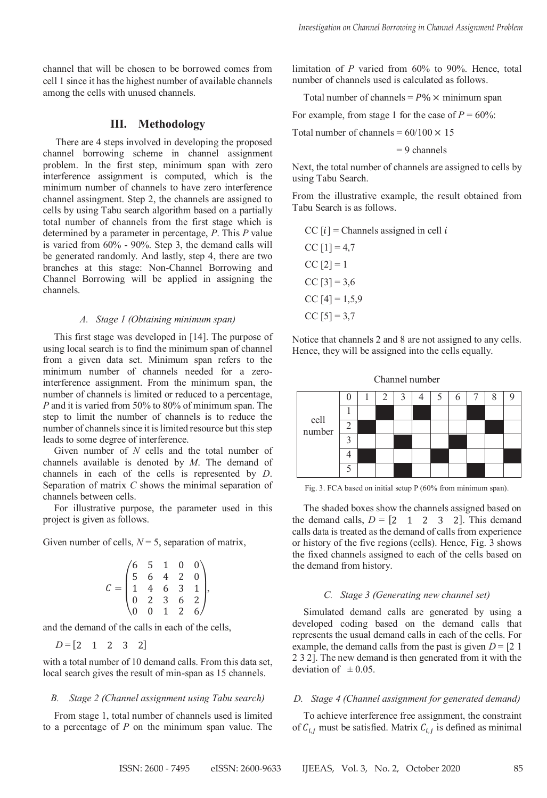channel that will be chosen to be borrowed comes from cell 1 since it has the highest number of available channels among the cells with unused channels.

# **III. Methodology**

 There are 4 steps involved in developing the proposed channel borrowing scheme in channel assignment problem. In the first step, minimum span with zero interference assignment is computed, which is the minimum number of channels to have zero interference channel assingment. Step 2, the channels are assigned to cells by using Tabu search algorithm based on a partially total number of channels from the first stage which is determined by a parameter in percentage, *P*. This *P* value is varied from 60% - 90%. Step 3, the demand calls will be generated randomly. And lastly, step 4, there are two branches at this stage: Non-Channel Borrowing and Channel Borrowing will be applied in assigning the channels.

### *A. Stage 1 (Obtaining minimum span)*

This first stage was developed in [14]. The purpose of using local search is to find the minimum span of channel from a given data set. Minimum span refers to the minimum number of channels needed for a zerointerference assignment. From the minimum span, the number of channels is limited or reduced to a percentage, *P* and it is varied from 50% to 80% of minimum span. The step to limit the number of channels is to reduce the number of channels since it is limited resource but this step leads to some degree of interference.

Given number of *N* cells and the total number of channels available is denoted by *M*. The demand of channels in each of the cells is represented by *D*. Separation of matrix *C* shows the minimal separation of channels between cells.

For illustrative purpose, the parameter used in this project is given as follows.

Given number of cells,  $N = 5$ , separation of matrix,

$$
C = \begin{pmatrix} 6 & 5 & 1 & 0 & 0 \\ 5 & 6 & 4 & 2 & 0 \\ 1 & 4 & 6 & 3 & 1 \\ 0 & 2 & 3 & 6 & 2 \\ 0 & 0 & 1 & 2 & 6 \end{pmatrix},
$$

and the demand of the calls in each of the cells,

$$
D = [2 \ 1 \ 2 \ 3 \ 2]
$$

with a total number of 10 demand calls. From this data set, local search gives the result of min-span as 15 channels.

### *B. Stage 2 (Channel assignment using Tabu search)*

From stage 1, total number of channels used is limited to a percentage of *P* on the minimum span value. The limitation of *P* varied from 60% to 90%. Hence, total number of channels used is calculated as follows.

Total number of channels =  $P\% \times$  minimum span

For example, from stage 1 for the case of  $P = 60\%$ :

Total number of channels =  $60/100 \times 15$ 

### $= 9$  channels

Next, the total number of channels are assigned to cells by using Tabu Search.

From the illustrative example, the result obtained from Tabu Search is as follows.

CC 
$$
[i]
$$
 = Channels assigned in cell  $i$   
CC  $[1]$  = 4,7

CC  $[2] = 1$ CC  $[3] = 3,6$ CC  $[4] = 1,5,9$  $CC [5] = 3,7$ 

Notice that channels 2 and 8 are not assigned to any cells. Hence, they will be assigned into the cells equally.

cell number 0 1 2 3 4 5 6 7 8 9 1 2 3 4 5

Channel number

Fig. 3. FCA based on initial setup P (60% from minimum span).

The shaded boxes show the channels assigned based on the demand calls,  $D = \begin{bmatrix} 2 & 1 & 2 & 3 & 2 \end{bmatrix}$ . This demand calls data is treated as the demand of calls from experience or history of the five regions (cells). Hence, Fig. 3 shows the fixed channels assigned to each of the cells based on the demand from history.

#### *C. Stage 3 (Generating new channel set)*

Simulated demand calls are generated by using a developed coding based on the demand calls that represents the usual demand calls in each of the cells. For example, the demand calls from the past is given  $D = [2 \ 1]$ 2 3 2]. The new demand is then generated from it with the deviation of  $\pm 0.05$ .

#### *D. Stage 4 (Channel assignment for generated demand)*

To achieve interference free assignment, the constraint of  $C_{i,i}$  must be satisfied. Matrix  $C_{i,i}$  is defined as minimal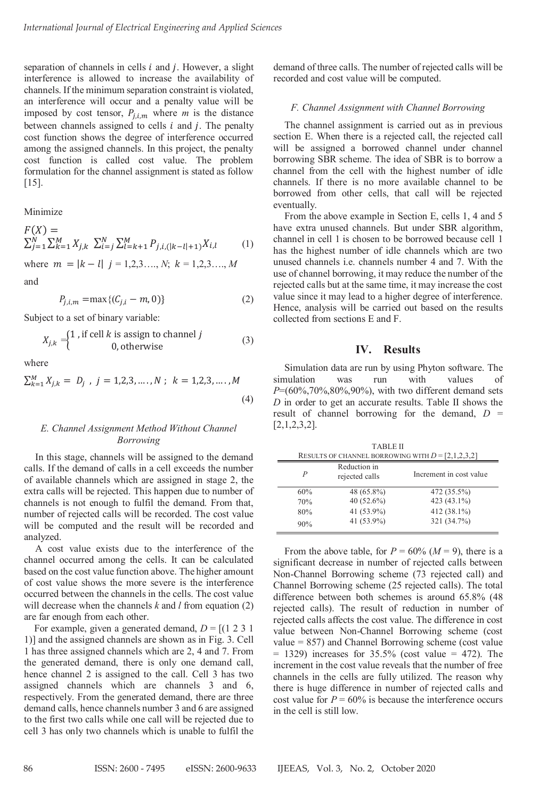separation of channels in cells  $i$  and  $j$ . However, a slight interference is allowed to increase the availability of channels. If the minimum separation constraint is violated, an interference will occur and a penalty value will be imposed by cost tensor,  $P_{i,i,m}$  where *m* is the distance between channels assigned to cells  $i$  and  $j$ . The penalty cost function shows the degree of interference occurred among the assigned channels. In this project, the penalty cost function is called cost value. The problem formulation for the channel assignment is stated as follow [15].

Minimize

$$
F(X) = \sum_{j=1}^{N} \sum_{k=1}^{M} X_{j,k} \sum_{i=j}^{N} \sum_{l=k+1}^{M} P_{j,i,(|k-l|+1)} X_{i,l}
$$
 (1)

where  $m = |k - l| j = 1, 2, 3, ..., N; k = 1, 2, 3, ..., M$ and

$$
P_{j,i,m} = \max\{(C_{j,i} - m, 0)\}\tag{2}
$$

Subject to a set of binary variable:

$$
X_{j,k} =\begin{cases} 1 \text{, if cell } k \text{ is assign to channel } j \\ 0 \text{, otherwise} \end{cases} \tag{3}
$$

where

$$
\sum_{k=1}^{M} X_{j,k} = D_j, \quad j = 1, 2, 3, \dots, N; \quad k = 1, 2, 3, \dots, M
$$
\n(4)

# *E. Channel Assignment Method Without Channel Borrowing*

In this stage, channels will be assigned to the demand calls. If the demand of calls in a cell exceeds the number of available channels which are assigned in stage 2, the extra calls will be rejected. This happen due to number of channels is not enough to fulfil the demand. From that, number of rejected calls will be recorded. The cost value will be computed and the result will be recorded and analyzed.

A cost value exists due to the interference of the channel occurred among the cells. It can be calculated based on the cost value function above. The higher amount of cost value shows the more severe is the interference occurred between the channels in the cells. The cost value will decrease when the channels *k* and *l* from equation (2) are far enough from each other.

For example, given a generated demand,  $D = [(1 2 3 1$ 1)] and the assigned channels are shown as in Fig. 3. Cell 1 has three assigned channels which are 2, 4 and 7. From the generated demand, there is only one demand call, hence channel 2 is assigned to the call. Cell 3 has two assigned channels which are channels 3 and 6, respectively. From the generated demand, there are three demand calls, hence channels number 3 and 6 are assigned to the first two calls while one call will be rejected due to cell 3 has only two channels which is unable to fulfil the demand of three calls. The number of rejected calls will be recorded and cost value will be computed.

#### *F. Channel Assignment with Channel Borrowing*

The channel assignment is carried out as in previous section E. When there is a rejected call, the rejected call will be assigned a borrowed channel under channel borrowing SBR scheme. The idea of SBR is to borrow a channel from the cell with the highest number of idle channels. If there is no more available channel to be borrowed from other cells, that call will be rejected eventually.

From the above example in Section E, cells 1, 4 and 5 have extra unused channels. But under SBR algorithm, channel in cell 1 is chosen to be borrowed because cell 1 has the highest number of idle channels which are two unused channels i.e. channels number 4 and 7. With the use of channel borrowing, it may reduce the number of the rejected calls but at the same time, it may increase the cost value since it may lead to a higher degree of interference. Hence, analysis will be carried out based on the results collected from sections E and F.

# **IV. Results**

Simulation data are run by using Phyton software. The simulation was run with values of *P*=(60%,70%,80%,90%), with two different demand sets *D* in order to get an accurate results. Table II shows the result of channel borrowing for the demand, *D* = [2,1,2,3,2].

TABLE II

| TABLEIL<br>RESULTS OF CHANNEL BORROWING WITH $D = [2,1,2,3,2]$ |                                |                         |  |  |
|----------------------------------------------------------------|--------------------------------|-------------------------|--|--|
| P                                                              | Reduction in<br>rejected calls | Increment in cost value |  |  |
| 60%                                                            | 48 (65.8%)                     | 472 (35.5%)             |  |  |
| 70%                                                            | 40 (52.6%)                     | 423 (43.1%)             |  |  |
| 80%                                                            | 41 (53.9%)                     | 412 (38.1%)             |  |  |
| 90%                                                            | 41 (53.9%)                     | 321 (34.7%)             |  |  |

From the above table, for  $P = 60\%$  ( $M = 9$ ), there is a significant decrease in number of rejected calls between Non-Channel Borrowing scheme (73 rejected call) and Channel Borrowing scheme (25 rejected calls). The total difference between both schemes is around 65.8% (48 rejected calls). The result of reduction in number of rejected calls affects the cost value. The difference in cost value between Non-Channel Borrowing scheme (cost value = 857) and Channel Borrowing scheme (cost value  $= 1329$ ) increases for  $35.5\%$  (cost value  $= 472$ ). The increment in the cost value reveals that the number of free channels in the cells are fully utilized. The reason why there is huge difference in number of rejected calls and cost value for  $P = 60\%$  is because the interference occurs in the cell is still low.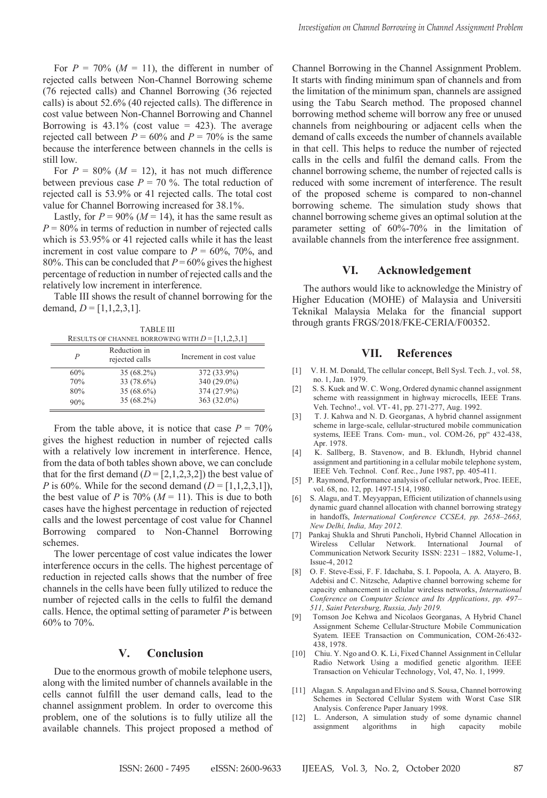For  $P = 70\%$  ( $M = 11$ ), the different in number of rejected calls between Non-Channel Borrowing scheme (76 rejected calls) and Channel Borrowing (36 rejected calls) is about 52.6% (40 rejected calls). The difference in cost value between Non-Channel Borrowing and Channel Borrowing is  $43.1\%$  (cost value = 423). The average rejected call between  $P = 60\%$  and  $P = 70\%$  is the same because the interference between channels in the cells is still low.

For  $P = 80\%$  ( $M = 12$ ), it has not much difference between previous case  $P = 70$  %. The total reduction of rejected call is 53.9% or 41 rejected calls. The total cost value for Channel Borrowing increased for 38.1%.

Lastly, for  $P = 90\%$  ( $M = 14$ ), it has the same result as  $P = 80\%$  in terms of reduction in number of rejected calls which is 53.95% or 41 rejected calls while it has the least increment in cost value compare to  $P = 60\%$ , 70%, and 80%. This can be concluded that  $P = 60\%$  gives the highest percentage of reduction in number of rejected calls and the relatively low increment in interference.

Table III shows the result of channel borrowing for the demand,  $D = [1,1,2,3,1]$ .

TABLE III RESULTS OF CHANNEL BORROWING WITH  $D = [1,1,2,3,1]$ 

| P   | Reduction in<br>rejected calls | Increment in cost value |
|-----|--------------------------------|-------------------------|
| 60% | 35 (68.2%)                     | 372 (33.9%)             |
| 70% | 33 (78.6%)                     | 340 (29.0%)             |
| 80% | 35 (68.6%)                     | 374 (27.9%)             |
| 90% | 35 (68.2%)                     | 363 (32.0%)             |

From the table above, it is notice that case  $P = 70\%$ gives the highest reduction in number of rejected calls with a relatively low increment in interference. Hence, from the data of both tables shown above, we can conclude that for the first demand  $(D = [2,1,2,3,2])$  the best value of *P* is 60%. While for the second demand  $(D = [1, 1, 2, 3, 1])$ , the best value of *P* is 70% ( $M = 11$ ). This is due to both cases have the highest percentage in reduction of rejected calls and the lowest percentage of cost value for Channel Borrowing compared to Non-Channel Borrowing schemes.

The lower percentage of cost value indicates the lower interference occurs in the cells. The highest percentage of reduction in rejected calls shows that the number of free channels in the cells have been fully utilized to reduce the number of rejected calls in the cells to fulfil the demand calls. Hence, the optimal setting of parameter *P* is between 60% to 70%.

# **V. Conclusion**

Due to the enormous growth of mobile telephone users, along with the limited number of channels available in the cells cannot fulfill the user demand calls, lead to the channel assignment problem. In order to overcome this problem, one of the solutions is to fully utilize all the available channels. This project proposed a method of Channel Borrowing in the Channel Assignment Problem. It starts with finding minimum span of channels and from the limitation of the minimum span, channels are assigned using the Tabu Search method. The proposed channel borrowing method scheme will borrow any free or unused channels from neighbouring or adjacent cells when the demand of calls exceeds the number of channels available in that cell. This helps to reduce the number of rejected calls in the cells and fulfil the demand calls. From the channel borrowing scheme, the number of rejected calls is reduced with some increment of interference. The result of the proposed scheme is compared to non-channel borrowing scheme. The simulation study shows that channel borrowing scheme gives an optimal solution at the parameter setting of 60%-70% in the limitation of available channels from the interference free assignment.

#### **VI. Acknowledgement**

The authors would like to acknowledge the Ministry of Higher Education (MOHE) of Malaysia and Universiti Teknikal Malaysia Melaka for the financial support through grants FRGS/2018/FKE-CERIA/F00352.

# **VII. References**

- [1] V. H. M. Donald, The cellular concept, Bell Sysl. Tech. J., vol. 58, no. 1, Jan. 1979.
- [2] S. S. Kuek and W. C. Wong, Ordered dynamic channel assignment scheme with reassignment in highway microcells, IEEE Trans. Veh. Techno!., vol. VT- 41, pp. 271-277, Aug. 1992.
- [3] T. J. Kahwa and N. D. Georganas, A hybrid channel assignment scheme in large-scale, cellular-structured mobile communication systems, IEEE Trans. Com- mun., vol. COM-26, pp" 432-438, Apr. 1978.
- [4] K. Sallberg, B. Stavenow, and B. Eklundh, Hybrid channel assignment and partitioning in a cellular mobile telephone system, IEEE Veh. Technol. Conf. Rec., June 1987, pp. 405-411.
- [5] P. Raymond, Performance analysis of cellular network, Proc. IEEE, vol. 68, no. 12, pp. 1497-1514, 1980.
- [6] S. Alagu, and T. Meyyappan, Efficient utilization of channels using dynamic guard channel allocation with channel borrowing strategy in handoffs, *International Conference CCSEA, pp. 2658–2663, New Delhi, India, May 2012.*
- [7] Pankaj Shukla and Shruti Pancholi, Hybrid Channel Allocation in Wireless Cellular Network. International Journal of Communication Network Security ISSN: 2231 – 1882, Volume-1, Issue-4, 2012
- [8] O. F. Steve-Essi, F. F. Idachaba, S. I. Popoola, A. A. Atayero, B. Adebisi and C. Nitzsche, Adaptive channel borrowing scheme for capacity enhancement in cellular wireless networks, *International Conference on Computer Science and Its Applications, pp. 497– 511, Saint Petersburg, Russia, July 2019.*
- Tomson Joe Kehwa and Nicolaos Georganas, A Hybrid Chanel Assignment Scheme Cellular-Structure Mobile Communication Syatem. IEEE Transaction on Communication, COM-26:432- 438, 1978.
- [10] Chiu. Y. Ngo and O. K. Li, Fixed Channel Assignment in Cellular Radio Network Using a modified genetic algorithm. IEEE Transaction on Vehicular Technology, Vol, 47, No. 1, 1999.
- [11] Alagan. S. Anpalagan and Elvino and S. Sousa, Channel borrowing Schemes in Sectored Cellular System with Worst Case SIR Analysis. Conference Paper January 1998.
- [12] L. Anderson, A simulation study of some dynamic channel assignment algorithms in high capacity mobile